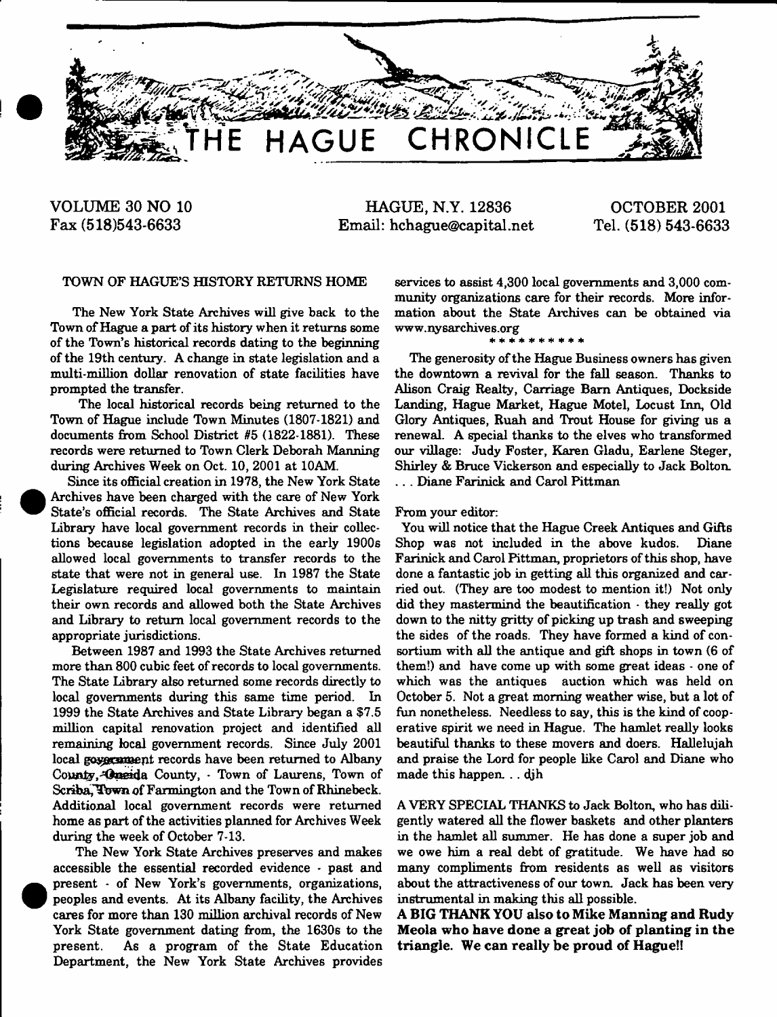

**VOLUME 30 NO 10 Fax (518)543-6633**

**HAGUE, N.Y. 12836 Email: [hchague@capital.net](mailto:hchague@capital.net)**

**OCTOBER 2001 Tel. (518) 543-6633**

### TOWN OF HAGUE'S HISTORY RETURNS HOME

The New York State Archives will give back to the Town of Hague a part of its history when it returns some of the Town's historical records dating to the beginning of the 19th century. A change in state legislation and a multi-million dollar renovation of state facilities have prompted the transfer.

The local historical records being returned to the Town of Hague include Town Minutes (1807-1821) and documents from School District #5 (1822-1881). These records were returned to Town Clerk Deborah Manning during Archives Week on Oct. 10, 2001 at 10AM.

Since its official creation in 1978, the New York State Archives have been charged with the care of New York State's official records. The State Archives and State Library have local government records in their collections because legislation adopted in the early 1900s allowed local governments to transfer records to the state that were not in general use. In 1987 the State Legislature required local governments to maintain their own records and allowed both the State Archives and Library to return local government records to the appropriate jurisdictions.

Between 1987 and 1993 the State Archives returned more than 800 cubic feet of records to local governments. The State Library also returned some records directly to local governments during this same time period. In 1999 the State Archives and State Library began a \$7.5 million capital renovation project and identified all remaining local government records. Since July 2001 local government records have been returned to Albany County, Conside County, Town of Laurens, Town of Scriba, Town of Farmington and the Town of Rhinebeck. Additional local government records were returned home as part of the activities planned for Archives Week during the week of October 7-13.

The New York State Archives preserves and makes accessible the essential recorded evidence • past and present - of New York's governments, organizations, peoples and events. At its Albany facility, the Archives cares for more than 130 million archival records of New York State government dating from, the 1630s to the present. As a program of the State Education Department, the New York State Archives provides services to assist 4,300 local governments and 3,000 community organizations care for their records. More information about the State Archives can be obtained via [www.nysarchives.org](http://www.nysarchives.org)

#### \* \* \* \* \* \* \* \*

The generosity of the Hague Business owners has given the downtown a revival for the fall season. Thanks to Alison Craig Realty, Carriage Bam Antiques, Dockside Landing, Hague Market, Hague Motel, Locust Inn, Old Glory Antiques, Ruah and Trout House for giving us a renewal. A special thanks to the elves who transformed our village: Judy Foster, Karen Gladu, Earlene Steger, Shirley & Bruce Vickerson and especially to Jack Bolton. . . . Diane Farinick and Carol Pittman

### From your editor:

You will notice that the Hague Creek Antiques and Gifts Shop was not included in the above kudos. Diane Farinick and Carol Pittman, proprietors of this shop, have done a fantastic job in getting all this organized and carried out. (They are too modest to mention it!) Not only did they mastermind the beautification  $\cdot$  they really got down to the nitty gritty of picking up trash and sweeping the sides of the roads. They have formed a kind of consortium with all the antique and gift shops in town (6 of them!) and have come up with some great ideas - one of which was the antiques auction which was held on October 5. Not a great morning weather wise, but a lot of fun nonetheless. Needless to say, this is the kind of cooperative spirit we need in Hague. The hamlet really looks beautiful thanks to these movers and doers. Hallelujah and praise the Lord for people like Carol and Diane who made this happen...djh

A VERY SPECIAL THANKS to Jack Bolton, who has diligently watered all the flower baskets and other planters in the hamlet all summer. He has done a super job and we owe him a real debt of gratitude. We have had so many compliments from residents as well as visitors about the attractiveness of our town. Jack has been very instrumental in making this all possible.

**A BIG THANK YOU also to Mike Manning and Rudy Meola who have done a great job of planting in the triangle. We can really be proud of Hague!!**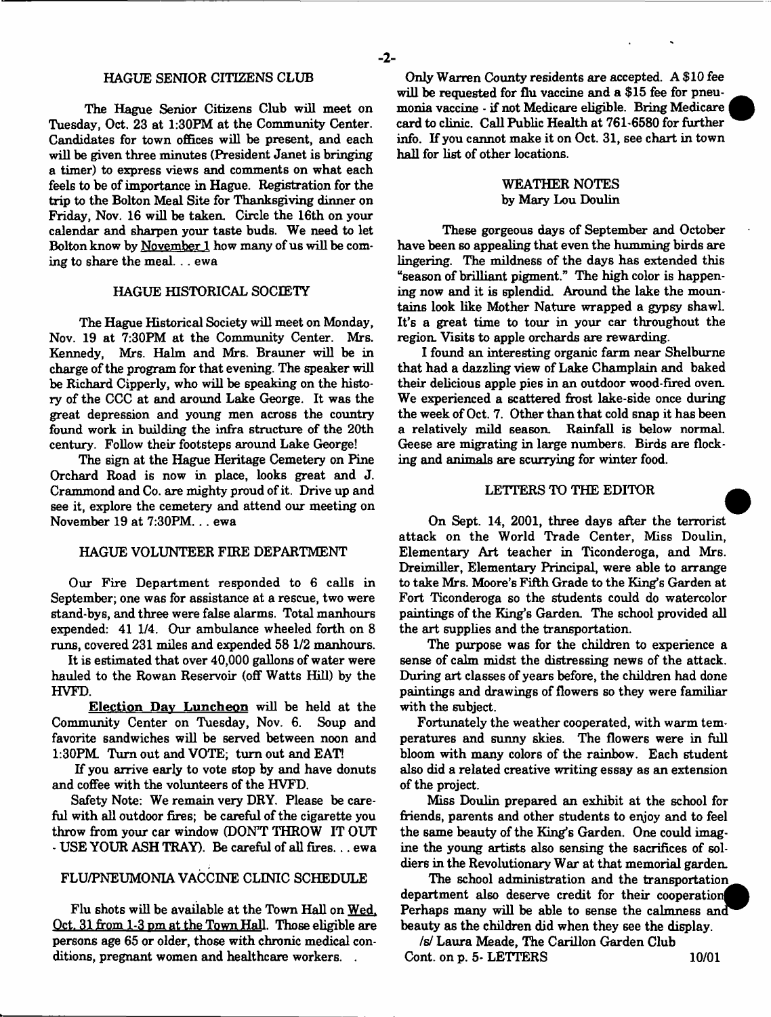### HAGUE SENIOR CITIZENS CLUB

The Hague Senior Citizens Club will meet on Tuesday, Oct. 23 at 1:30FM at the Community Center. Candidates for town offices will be present, and each will be given three minutes (President Janet is bringing a timer) to express views and comments on what each feels to be of importance in Hague. Registration for the trip to the Bolton Meal Site for Thanksgiving dinner on Friday, Nov. 16 will be taken. Circle the 16th on your calendar and sharpen your taste buds. We need to let Bolton know by November 1 how many of us will be coming to share the meal... ewa

### HAGUE HISTORICAL SOCIETY

The Hague Historical Society will meet on Monday, Nov. 19 at 7:30PM at the Community Center. Mrs. Kennedy, Mrs. Halm and Mrs. Brauner will be in charge of the program for that evening. The speaker will be Richard Cipperly, who will be speaking on the history of the CCC at and around Lake George. It was the great depression and young men across the country found work in building the infra structure of the 20th century. Follow their footsteps around Lake George!

The sign at the Hague Heritage Cemetery on Pine Orchard Road is now in place, looks great and J. Crammond and Co. are mighty proud of it. Drive up and see it, explore the cemetery and attend our meeting on November 19 at 7:30PM. . . ewa

### HAGUE VOLUNTEER FIRE DEPARTMENT

Our Fire Department responded to 6 calls in September; one was for assistance at a rescue, two were stand-bys, and three were false alarms. Total manhours expended: 41 1/4. Our ambulance wheeled forth on 8 runs, covered 231 miles and expended 58 1/2 manhours.

It is estimated that over 40,000 gallons of water were hauled to the Rowan Reservoir (off Watts Hill) by the HVFD.

Election Dav Luncheon will be held at the Community Center on Tuesday, Nov. 6. Soup and favorite sandwiches will be served between noon and 1:30PM. Turn out and VOTE; turn out and EAT!

If you arrive early to vote stop by and have donuts and coffee with the volunteers of the HVFD.

Safety Note: We remain very DRY. Please be careful with all outdoor fires; be careful of the cigarette you throw from your car window (DON'T THROW IT OUT \* USE YOUR ASH TRAY). Be careful of all fires... ewa

## FLU/PNEUMONIA VACCINE CLINIC SCHEDULE

Flu shots will be available at the Town Hall on Wed. Oct. 31 from 1-3 pm at the Town Hall. Those eligible are persons age 65 or older, those with chronic medical conditions, pregnant women and healthcare workers. .

Only Warren County residents are accepted. A \$10 fee will be requested for flu vaccine and a \$15 fee for pneumonia vaccine - if not Medicare eligible. Bring Medicare card to clinic. Call Public Health at 761-6580 for further info. If you cannot make it on Oct. 31, see chart in town hall for list of other locations.

### WEATHER NOTES by Mary Lou Doulin

These gorgeous days of September and October have been so appealing that even the humming birds are lingering. The mildness of the days has extended this "season of brilliant pigment." The high color is happening now and it is splendid. Around the lake the mountains look like Mother Nature wrapped a gypsy shawl. It's a great time to tour in your car throughout the region. Visits to apple orchards are rewarding.

I found an interesting organic farm near Shelburne that had a dazzling view of Lake Champlain and baked their delicious apple pies in an outdoor wood-fired oven. We experienced a scattered frost lake-side once during the week of Oct. 7. Other than that cold snap it has been a relatively mild season. Rainfall is below normal. Geese are migrating in large numbers. Birds are flocking and animals are scurrying for winter food.

#### LETTERS TO THE EDITOR

On Sept. 14, 2001, three days after the terrorist attack on the World Trade Center, Miss Doulin, Elementary Art teacher in Ticonderoga, and Mrs. Dreimiller, Elementary Principal, were able to arrange to take Mrs. Moore's Fifth Grade to the King's Garden at Fort Ticonderoga so the students could do watercolor paintings of the King's Garden. The school provided all the art supplies and the transportation.

The purpose was for the children to experience a sense of calm midst the distressing news of the attack. During art classes of years before, the children had done paintings and drawings of flowers so they were familiar with the subject.

Fortunately the weather cooperated, with warm temperatures and sunny skies. The flowers were in full bloom with many colors of the rainbow. Each student also did a related creative writing essay as an extension of the project.

Miss Doulin prepared an exhibit at the school for friends, parents and other students to enjoy and to feel the same beauty of the King's Garden. One could imagine the young artists also sensing the sacrifices of soldiers in the Revolutionary War at that memorial garden.

The school administration and the transportation^^ department also deserve credit for their cooperation Perhaps many will be able to sense the calmness and beauty as the children did when they see the display.

*Is/* Laura Meade, The Carillon Garden Club Cont. on p. 5- LETTERS 10/01

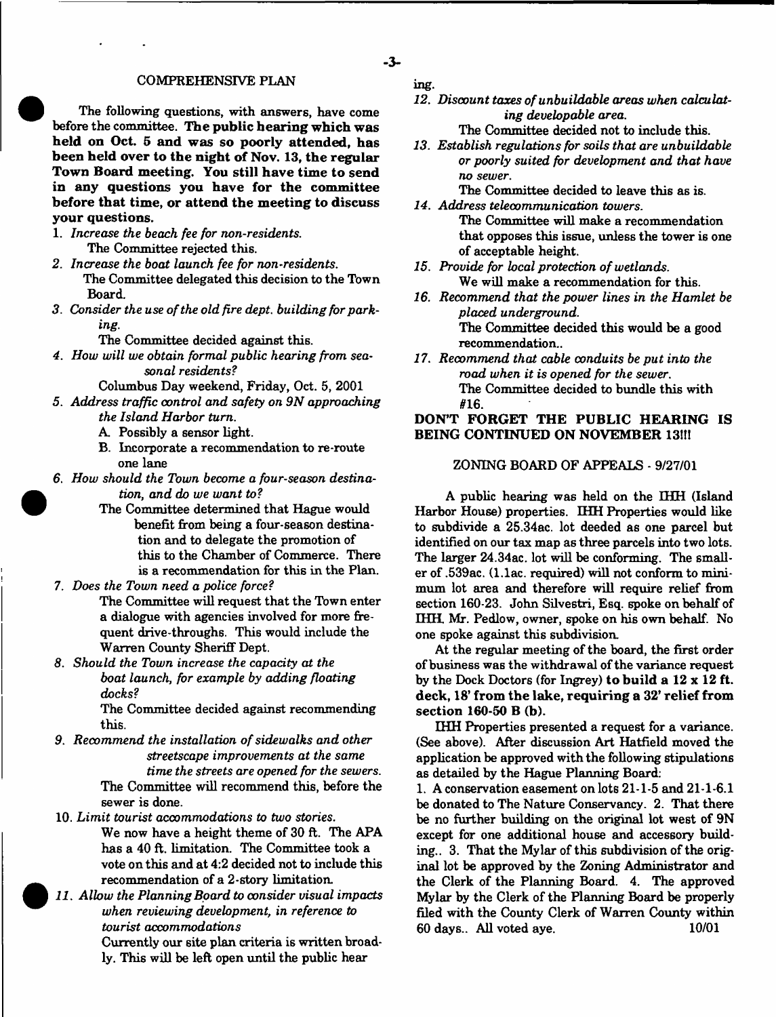### COMFREHENSIVE PLAN

The following questions, with answers, have come before the committee. The public hearing which was held on Oct. 5 and was so poorly attended, has been held over to the night of Nov. 13, the regular Town Board meeting. You still have time to send in any questions you have for the committee before that time, or attend the meeting to discuss your questions.

- 1. *Increase the beach fee for non-residents.* The Committee rejected this.
- *2. Increase the boat launch fee for non-residents.* The Committee delegated this decision to the Town Board.
- *3. Consider the use of the old fire dept, building for parking.*
	- The Committee decided against this.
- *4. How will we obtain formal public hearing from seasonal residents?*
	- Columbus Day weekend, Friday, Oct. 5, 2001
- *5. Address traffic control and safety on 9N approaching the Island Harbor turn.*
	- A. Possibly a sensor light.
	- B. Incorporate a recommendation to re-route one lane
- *6. How should the Town become a four-season destination, and do we want to?*
	- The Committee determined that Hague would benefit from being a four-season destination and to delegate the promotion of this to the Chamber of Commerce. There is a recommendation for this in the Plan.
- 7. *Does the Town need a police force?*
	- The Committee will request that the Town enter a dialogue with agencies involved for more frequent drive-throughs. This would include the Warren County Sheriff Dept.
- *8. Should the Town increase the capacity at the boat launch, for example by adding floating docks?*

The Committee decided against recommending this.

- *9. Recommend the installation of sidewalks and other streets cape improvements at the same time the streets are opened for the sewers.* The Committee will recommend this, before the sewer is done.
- 10. *Limit tourist accommodations to two stories.* We now have a height theme of 30 ft. The APA has a 40 ft. limitation. The Committee took a vote on this and at 4:2 decided not to include this recommendation of a 2-story limitation.
- *11. Allow the Planning Board to consider visual impacts when reviewing development, in reference to tourist accommodations*

Currently our site plan criteria is written broadly. This will be left open until the public hear

ing.

- **3**-

*12. Discount taxes of unbuildable areas when calculating developable area.*

The Committee decided not to include this.

*13. Establish regulations for soils that are unbuildable or poorly suited for development and that have no sewer.*

The Committee decided to leave this as is. *14. Address telecommunication towers.*

The Committee will make a recommendation that opposes this issue, unless the tower is one of acceptable height.

- *15. Provide for local protection of wetlands.* We will make a recommendation for this.
- *16. Recommend that the power lines in the Hamlet be placed underground.* The Committee decided this would be a good recommendation..
- *17. Recommend that cable conduits be put into the road when it is opened for the sewer.* The Committee decided to bundle this with #16.

# DON'T FORGET THE PUBLIC HEARING IS BEING CONTINUED ON NOVEMBER 13!!!

### ZONING BOARD OF APPEALS - 9/27/01

A public hearing was held on the IHH (Island Harbor House) properties. EHH Properties would like to subdivide a 25.34ac. lot deeded as one parcel but identified on our tax map as three parcels into two lots. The larger 24.34ac. lot will be conforming. The smaller of .539ac. (l.lac. required) will not conform to minimum lot area and therefore will require relief from section 160-23. John Silvestri, Esq. spoke on behalf of IHH. Mr. Pedlow, owner, spoke on his own behalf. No one spoke against this subdivision.

At the regular meeting of the board, the first order of business was the withdrawal of the variance request by the Dock Doctors (for Ingrey) to build a 12 x 12 ft. deck, 18' from the lake, requiring a 32' relief from section 160-50 B (b).

IHH Properties presented a request for a variance. (See above). After discussion Art Hatfield moved the application be approved with the following stipulations as detailed by the Hague Planning Board:

1. A conservation easement on lots 21-1-5 and 21-1-6.1 be donated to The Nature Conservancy. 2. That there be no further building on the original lot west of 9N except for one additional house and accessory building.. 3. That the Mylar of this subdivision of the original lot be approved by the Zoning Administrator and the Clerk of the Planning Board. 4. The approved Mylar by the Clerk of the Planning Board be properly filed with the County Clerk of Warren County within 60 days.. All voted aye. 10/01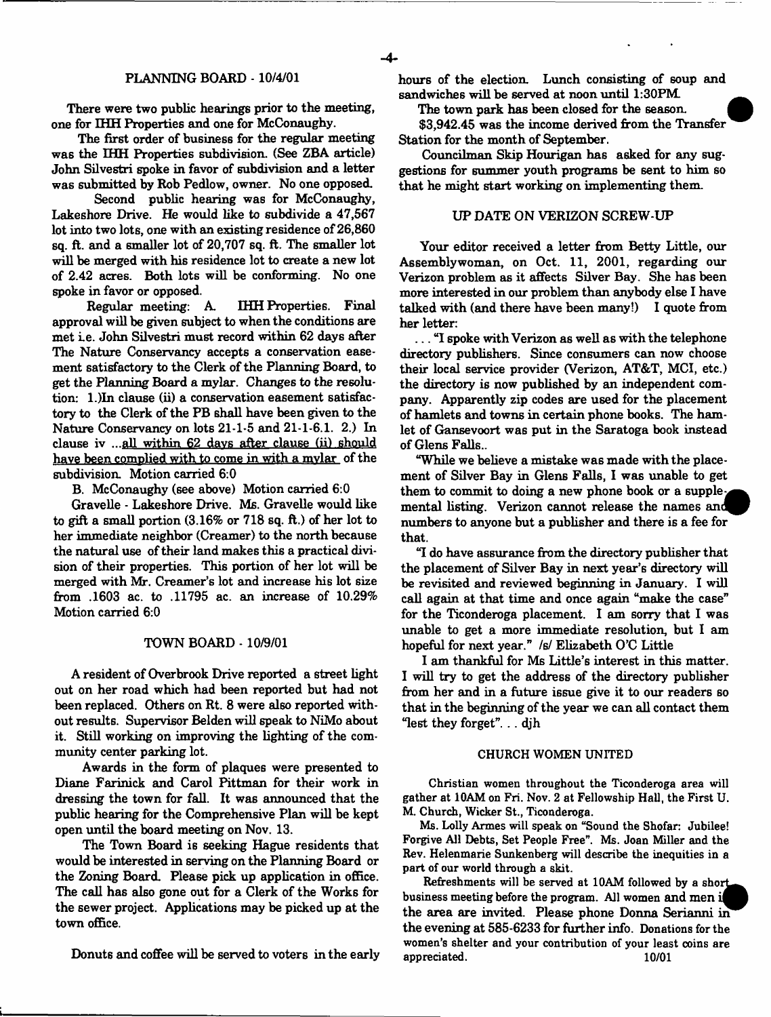#### PLANNING BOARD -10/4/01

There were two public hearings prior to the meeting, one for IHH Properties and one for McConaughy.

The first order of business for the regular meeting was the IHH Properties subdivision. (See ZBA article) John Silvestri spoke in favor of subdivision and a letter was submitted by Rob Pedlow, owner. No one opposed.

Second public hearing was for McConaughy, Lake shore Drive. He would like to subdivide a 47,567 lot into two lots, one with an existing residence of 26,860 sq. ft. and a smaller lot of 20,707 sq. ft. The smaller lot will be merged with his residence lot to create a new lot of 2.42 acres. Both lots will be conforming. No one spoke in favor or opposed.

Regular meeting: A IHH Properties. Final approval will be given subject to when the conditions are met i.e. John Silvestri must record within 62 days after The Nature Conservancy accepts a conservation easement satisfactory to the Clerk of the Planning Board, to get the Planning Board a mylar. Changes to the resolution: 1.)In clause (ii) a conservation easement satisfactory to the Clerk of the PB shall have been given to the Nature Conservancy on lots 21-1-5 and 21-1-6.1. 2.) In clause iv ... $all$  within  $62$  days after clause (ii) should have been complied with to come in with a mylar of the subdivision. Motion carried 6:0

B. McConaughy (see above) Motion carried 6:0

Gravelle - Lakeshore Drive. Ms. Gravelle would like to gift a small portion (3.16% or 718 sq. ft.) of her lot to her immediate neighbor (Creamer) to the north because the natural use of their land makes this a practical division of their properties. This portion of her lot will be merged with Mr. Creamer's lot and increase his lot size from .1603 ac. to .11795 ac. an increase of 10.29% Motion carried 6:0

#### TOWN BOARD - 10/9/01

A resident of Overbrook Drive reported a street light out on her road which had been reported but had not been replaced. Others on Rt. 8 were also reported without results. Supervisor Belden will speak to NiMo about it. Still working on improving the lighting of the community center parking lot.

Awards in the form of plaques were presented to Diane Farinick and Carol Pittman for their work in dressing the town for fall. It was announced that the public hearing for the Comprehensive Plan will be kept open until the board meeting on Nov. 13.

The Town Board is seeking Hague residents that would be interested in serving on the Planning Board or the Zoning Board. Please pick up application in office. The call has also gone out for a Clerk of the Works for the sewer project. Applications may be picked up at the town office.

Donuts and coffee will be served to voters in the early

hours of the election. Lunch consisting of soup and sandwiches will be served at noon until 1:30PM

The town park has been closed for the season.

\$3,942.45 was the income derived from the Transfer Station for the month of September.

Councilman Skip Hourigan has asked for any suggestions for summer youth programs be sent to him so that he might start working on implementing them.

#### UP DATE ON VERIZON SCREW-UP

Your editor received a letter from Betty Little, our Assemblywoman, on Oct. 11, 2001, regarding our Verizon problem as it affects Silver Bay. She has been more interested in our problem than anybody else I have talked with (and there have been many!) I quote from her letter:

... "I spoke with Verizon as well as with the telephone directory publishers. Since consumers can now choose their local service provider (Verizon, AT&T, MCI, etc.) the directory is now published by an independent company. Apparently zip codes are used for the placement of hamlets and towns in certain phone books. The hamlet of Gansevoort was put in the Saratoga book instead of Glens Falls..

"While we believe a mistake was made with the placement of Silver Bay in Glens Falls, I was unable to get them to commit to doing a new phone book or a supplemental listing. Verizon cannot release the names numbers to anyone but a publisher and there is a fee for that.

"I do have assurance from the directory publisher that the placement of Silver Bay in next year's directory will be revisited and reviewed beginning in January. I will call again at that time and once again "make the case" for the Ticonderoga placement. I am sorry that I was unable to get a more immediate resolution, but I am hopeful for next year." /s/ Elizabeth O'C Little

**I** am **t hankful** for Ms Little's interest in this matter. I will try to get the address of the directory publisher from her and in a future issue give it to our readers so that in the beginning of the year we can all contact them "lest they forget". .. djh

#### CHURCH WOMEN UNITED

Christian women throughout the Ticonderoga area will gather at 10AM on Fri. Nov. 2 at Fellowship Hall, the First U. M. Church, Wicker St., Ticonderoga.

Ms. Lolly Armes will speak on "Sound the Shofar: Jubilee! Forgive All Debts, Set People Free". Ms. Joan Miller and the Rev. Helenmarie Sunkenberg will describe the inequities in a part of our world through a skit.

Refreshments will be served at 10AM followed by a short business meeting before the program. All women and men i the area are invited. Please phone Donna Serianni in the evening at 585-6233 for further info. Donations for the women's shelter and your contribution of your least coins are appreciated. 10/01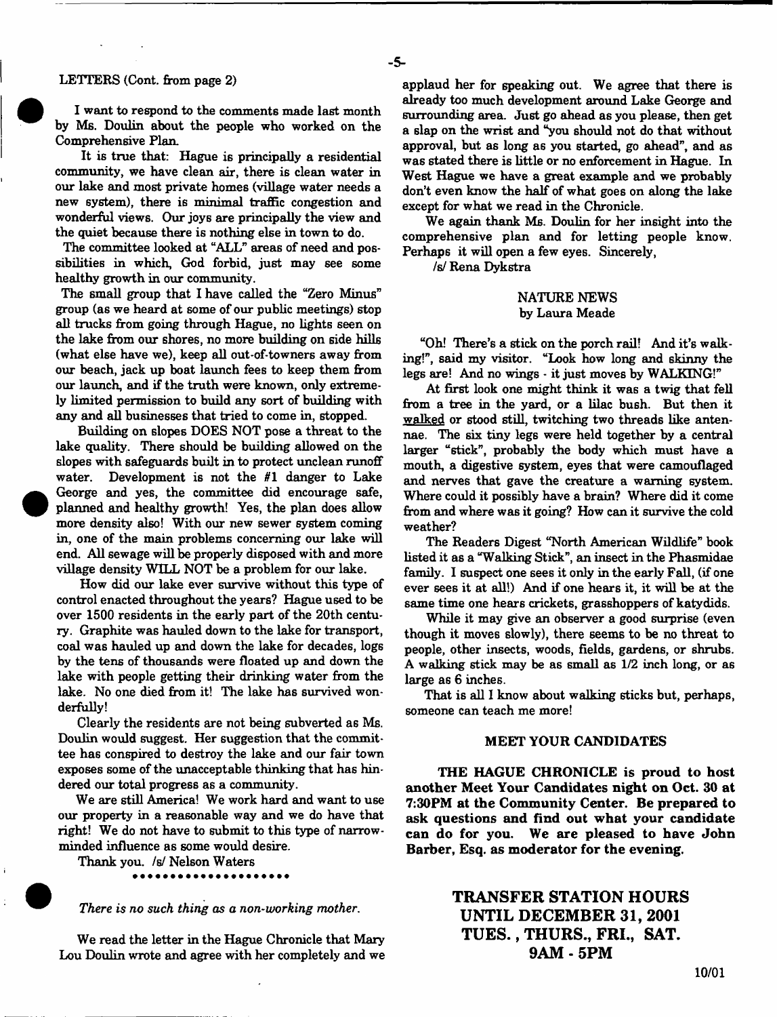I want to respond to the comments made last month by Ms. Doulin about the people who worked on the Comprehensive Plan.

It is true that: Hague is principally a residential community, we have clean air, there is clean water in our lake and most private homes (village water needs a new system), there is minimal traffic congestion and wonderful views. Our joys are principally the view and the quiet because there is nothing else in town to do.

The committee looked at "ALL" areas of need and possibilities in which, God forbid, just may see some healthy growth in our community.

The small group that I have called the "Zero Minus" group (as we heard at some of our public meetings) stop all trucks from going through Hague, no lights seen on the lake from our shores, no more building on side hills (what else have we), keep all out-of-towners away from our beach, jack up boat launch fees to keep them from our launch, and if the truth were known, only extremely limited permission to build any sort of building with any and all businesses that tried to come in, stopped.

Building on slopes DOES NOT pose a threat to the lake quality. There should be building allowed on the slopes with safeguards built in to protect unclean runoff water. Development is not the *til* danger to Lake George and yes, the committee did encourage safe, planned and healthy growth! Yes, the plan does allow more density also! With our new sewer system coming in, one of the main problems concerning our lake will end. All sewage will be properly disposed with and more village density WILL NOT be a problem for our lake.

How did our lake ever survive without this type of control enacted throughout the years? Hague used to be over 1500 residents in the early part of the 20th century. Graphite was hauled down to the lake for transport, coal was hauled up and down the lake for decades, logs by the tens of thousands were floated up and down the lake with people getting their drinking water from the lake. No one died from it! The lake has survived wonderfully!

Clearly the residents are not being subverted as Ms. Doulin would suggest. Her suggestion that the committee has conspired to destroy the lake and our fair town exposes some of the unacceptable thinking that has hindered our total progress as a community.

We are still America! We work hard and want to use our property in a reasonable way and we do have that right! We do not have to submit to this type of narrowminded influence as some would desire.

Thank you. /s/ Nelson Waters

*There is no such thing as a non-working mother*.

We read the letter in the Hague Chronicle that Mary Lou Doulin wrote and agree with her completely and we applaud her for speaking out. We agree that there is already too much development around Lake George and surrounding area. Just go ahead as you please, then get a slap on the wrist and "you should not do that without approval, but as long as you started, go ahead", and as was stated there is little or no enforcement in Hague. In West Hague we have a great example and we probably don't even know the half of what goes on along the lake except for what we read in the Chronicle.

We again thank Ms. Doulin for her insight into the comprehensive plan and for letting people know. Perhaps it will open a few eyes. Sincerely,

*is!* Rena Dykstra

- **5**-

### NATURE NEWS by Laura Meade

"Oh! There's a stick on the porch rail! And it's walking!", said my visitor. "Look how long and skinny the legs are! And no wings - it just moves by WALKING!"

At first look one might think it was a twig that fell from a tree in the yard, or a lilac bush. But then it walked or stood still, twitching two threads like antennae. The six tiny legs were held together by a central larger "stick", probably the body which must have a mouth, a digestive system, eyes that were camouflaged and nerves that gave the creature a warning system. Where could it possibly have a brain? Where did it come from and where was it going? How can it survive the cold weather?

The Readers Digest "North American Wildlife" book listed it as a "Walking Stick", an insect in the Phasmidae family. I suspect one sees it only in the early Fall, (if one ever sees it at all!) And if one hears it, it will be at the same time one hears crickets, grasshoppers of katydids.

While it may give an observer a good surprise (even though it moves slowly), there seems to be no threat to people, other insects, woods, fields, gardens, or shrubs. A walking stick may be as small as 1/2 inch long, or as large as 6 inches.

That is all I know about walking sticks but, perhaps, someone can teach me more!

### **MEET YOUR CANDIDATES**

**THE HAGUE CHRONICLE is proud to host another Meet Your Candidates night on Oct. 30 at 7:30PM at the Community Center. Be prepared to ask questions and find out what your candidate can do for you. We are pleased to have John Barber, Esq. as moderator for the evening.**

# **TRANSFER STATION HOURS UNTIL DECEMBER 31, 2001 T U E S ., THURS., FRI., SAT. 9AM - 5PM**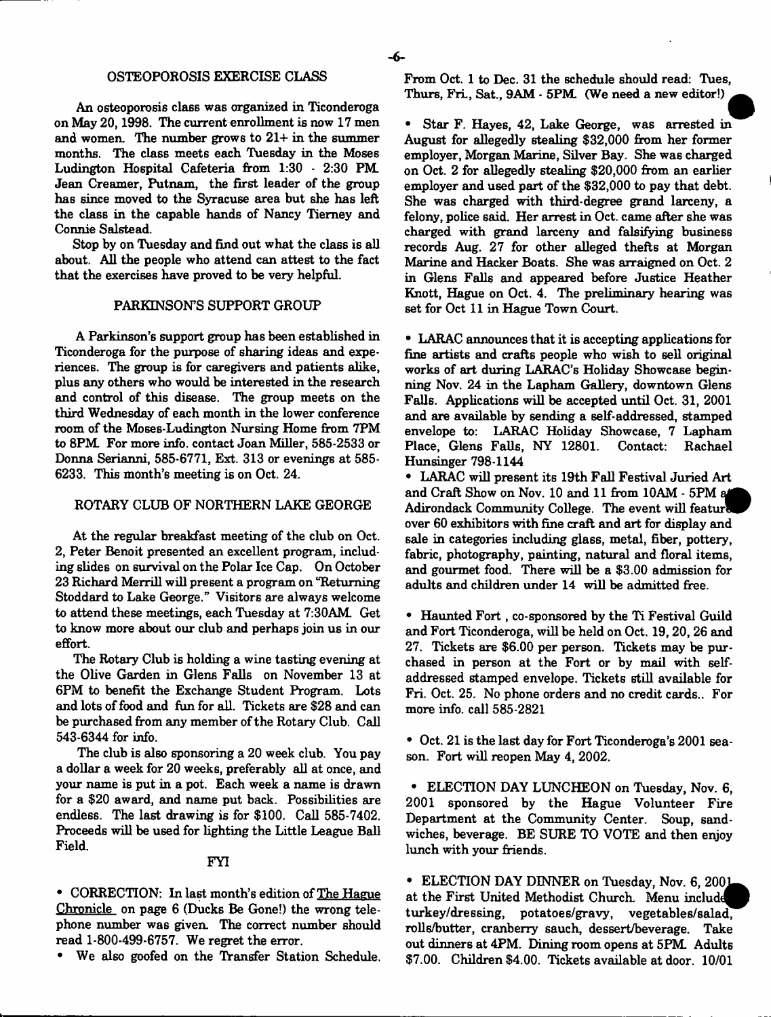## OSTEOPOROSIS EXERCISE CLASS

An osteoporosis class was organized in Ticonderoga on May 20,1998. The current enrollment is now 17 men and women. The number grows to 21+ in the summer months. The class meets each Tuesday in the Moses Ludington Hospital Cafeteria from 1:30 - 2:30 PM. Jean Creamer, Putnam, the first leader of the group has since moved to the Syracuse area but she has left the class in the capable hands of Nancy Tierney and Connie Salstead.

Stop by on Tuesday and find out what the class is all about. All the people who attend can attest to the fact that the exercises have proved to be very helpful.

#### PARKINSON'S SUPPORT GROUP

A Parkinson's support group has been established in Ticonderoga for the purpose of sharing ideas and experiences. The group is for caregivers and patients alike, plus any others who would be interested in the research and control of this disease. The group meets on the third Wednesday of each month in the lower conference room of the Moses-Ludington Nursing Home from 7PM to 8PM. For more info, contact Joan Miller, 585-2533 or Donna Serianni, 585-6771, Ext. 313 or evenings at 585- 6233. This month's meeting is on Oct. 24.

### ROTARY CLUB OF NORTHERN LAKE GEORGE

At the regular breakfast meeting of the club on Oct. 2, Peter Benoit presented an excellent program, including slides on survival on the Polar Ice Cap. On October 23 Richard Merrill will present a program on "Returning Stoddard to Lake George." Visitors are always welcome to attend these meetings, each Tuesday at 7:30AM. Get to know more about our club and perhaps join us in our effort.

The Rotary Club is holding a wine tasting evening at the Olive Garden in Glens Falls on November 13 at 6PM to benefit the Exchange Student Program. Lots and lots of food and fun for all. Tickets are \$28 and can be purchased from any member of the Rotary Club. Call 543-6344 for info.

The club is also sponsoring a 20 week club. You pay a dollar a week for 20 weeks, preferably all at once, and your name is put in a pot. Each week a name is drawn for a \$20 award, and name put back. Possibilities are endless. The last drawing is for \$100. Call 585-7402. Proceeds will be used for lighting the Little League Ball Field.

### FYI

• CORRECTION: In last month's edition of The Hague Chronicle on page 6 (Ducks Be Gone!) the wrong telephone number was given. The correct number should read 1-800-499-6757. We regret the error.

We also goofed on the Transfer Station Schedule.

From Oct. 1 to Dec. 31 the schedule should read: Tues, Thurs, Fri., Sat., 9AM  $\cdot$  5PM. (We need a new editor!)

• Star F. Hayes, 42, Lake George, was arrested in August for allegedly stealing \$32,000 from her former employer, Morgan Marine, Silver Bay. She was charged on Oct. 2 for allegedly stealing \$20,000 from an earlier employer and used part of the \$32,000 to pay that debt. She was charged with third-degree grand larceny, a felony, police said. Her arrest in Oct. came after she was charged with grand larceny and falsifying business records Aug. 27 for other alleged thefts at Morgan Marine and Hacker Boats. She was arraigned on Oct. 2 in Glens Falls and appeared before Justice Heather Knott, Hague on Oct. 4. The preliminary hearing was set for Oct 11 in Hague Town Court.

• LARAC announces that it is accepting applications for fine artists and crafts people who wish to sell original works of art during LARAC's Holiday Showcase beginning Nov. 24 in the Lapham Gallery, downtown Glens Falls. Applications will be accepted until Oct. 31, 2001 and are available by sending a self-addressed, stamped envelope to: LARAC Holiday Showcase, 7 Lapham Place, Glens Falls, NY 12801. Contact: Rachael Hunsinger 798-1144

• LARAC will present its 19th Fall Festival Juried Art and Craft Show on Nov. 10 and 11 from 10AM - 5PM Adirondack Community College. The event will feature over 60 exhibitors with fine craft and art for display and sale in categories including glass, metal, fiber, pottery, fabric, photography, painting, natural and floral items, and gourmet food. There will be a \$3.00 admission for adults and children under 14 will be admitted free.

• Haunted Fort, co-sponsored by the Ti Festival Guild and Fort Ticonderoga, will be held on Oct. 19,20,26 and 27. Tickets are \$6.00 per person. Tickets may be purchased in person at the Fort or by mail with selfaddressed stamped envelope. Tickets still available for Fri. Oct. 25. No phone orders and no credit cards.. For more info, call 585-2821

• Oct. 21 is the last day for Fort Ticonderoga's 2001 season. Fort will reopen May 4, 2002.

• ELECTION DAY LUNCHEON on Tuesday, Nov. 6, 2001 sponsored by the Hague Volunteer Fire Department at the Community Center. Soup, sandwiches, beverage. BE SURE TO VOTE and then enjoy lunch with your friends.

• ELECTION DAY DINNER on Tuesday, Nov. 6, 2001 at the First United Methodist Church. Menu include turkey/dressing, potatoes/gravy, vegetables/salad, rolls/butter, cranberry sauch, dessert/beverage. Take out dinners at 4PM. Dining room opens at 5PM Adults \$7.00. Children \$4.00. Tickets available at door. 10/01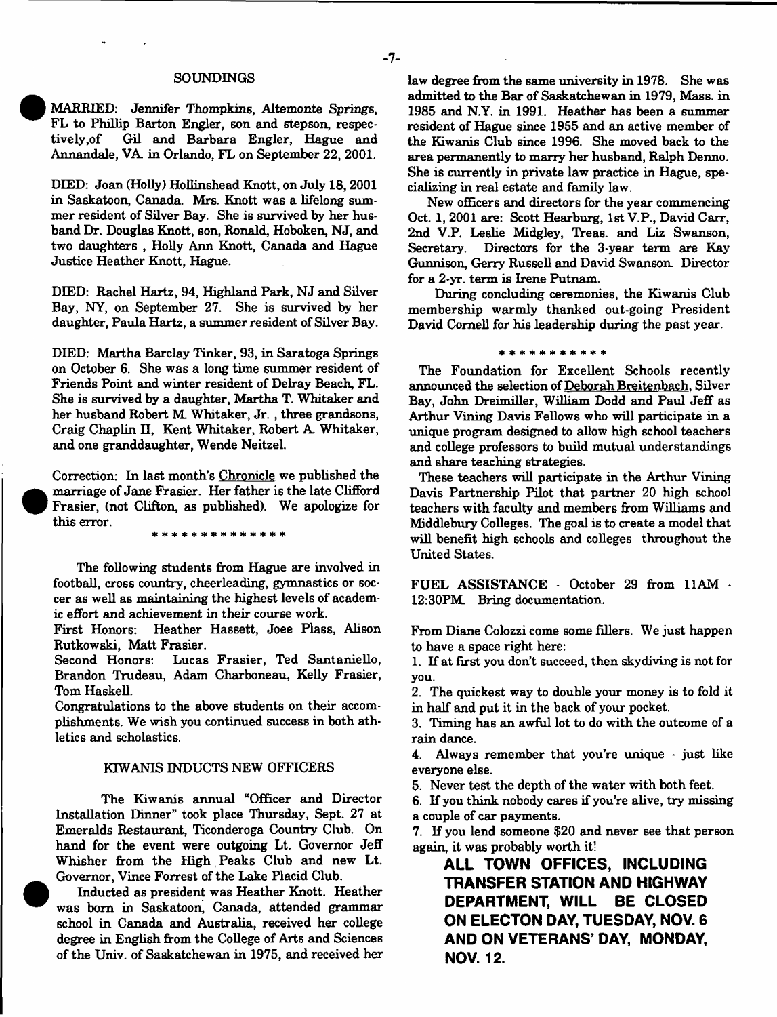#### **SOUNDINGS**

MARRIED: Jennifer Thompkins, Altemonte Springs, FL to Phillip Barton Engler, son and stepson, respectively, of Gil and Barbara Engler, Hague and Gil and Barbara Engler, Hague and Annandale, VA in Orlando, FL on September 22, 2001.

DIED: Joan (Holly) Hollinshead Knott, on July 18, 2001 in Saskatoon, Canada. Mrs. Knott was a lifelong summer resident of Silver Bay. She is survived by her husband Dr. Douglas Knott, son, Ronald, Hoboken, NJ, and two daughters , Holly Ann Knott, Canada and Hague Justice Heather Knott, Hague.

DIED: Rachel Hartz, 94, Highland Park, NJ and Silver Bay, NY, on September 27. She is survived by her daughter, Paula Hartz, a summer resident of Silver Bay.

DIED: Martha Barclay Tinker, 93, in Saratoga Springs on October 6. She was a long time summer resident of Friends Point and winter resident of Delray Beach, FL. She is survived by a daughter, Martha T. Whitaker and her husband Robert M Whitaker, Jr. , three grandsons, Craig Chaplin II, Kent Whitaker, Robert A. Whitaker, and one granddaughter, Wende Neitzel.

Correction: In last month's Chronicle we published the marriage of Jane Frasier. Her father is the late Clifford Frasier, (not Clifton, as published). We apologize for this error.

\* \* \* \* \* \* \* \* \* \* \* \* \* \* \*

The following students from Hague are involved in football, cross country, cheerleading, gymnastics or soccer as well as maintaining the highest levels of academic effort and achievement in their course work.

First Honors: Heather Hassett, Joee Plass, Alison Rutkowski, Matt Frasier.

Second Honors: Lucas Frasier, Ted Santaniello, Brandon Trudeau, Adam Charboneau, Kelly Frasier, Tom Haskell.

Congratulations to the above students on their accomplishments. We wish you continued success in both athletics and scholastics.

### KTWANIS INDUCTS NEW OFFICERS

The Kiwanis annual "Officer and Director Installation Dinner" took place Thursday, Sept. 27 at Emeralds Restaurant, Ticonderoga Country Club. On hand for the event were outgoing Lt. Governor Jeff Whisher from the High Peaks Club and new Lt. Governor, Vince Forrest of the Lake Placid Club.

Inducted as president was Heather Knott. Heather was bom in Saskatoon, Canada, attended grammar school in Canada and Australia, received her college degree in English from the College of Arts and Sciences of the Univ. of Saskatchewan in 1975, and received her law degree from the same university in 1978. She was admitted to the Bar of Saskatchewan in 1979, Mass. in 1985 and N.Y. in 1991. Heather has been a summer resident of Hague since 1955 and an active member of the Kiwanis Club since 1996. She moved back to the area permanently to marry her husband, Ralph Denno. She is currently in private law practice in Hague, specializing in real estate and family law.

New officers and directors for the year commencing Oct. 1, 2001 are: Scott Hearburg, 1st V.P., David Carr, 2nd V.P. Leslie Midgley, Treas. and Liz Swanson, Secretary. Directors for the 3-year term are Kay Directors for the 3-year term are Kay Gunnison, Gerry Russell and David Swanson. Director for a 2-yr. term is Irene Putnam.

During concluding ceremonies, the Kiwanis Club membership warmly thanked out-going President David Cornell for his leadership during the past year.

\* \* \* \* \* \* \* \* \* \* \*

The Foundation for Excellent Schools recently announced the selection of Deborah Breitenbach. Silver Bay, John Dreimiller, William Dodd and Paul Jeff as Arthur Vining Davis Fellows who will participate in a unique program designed to allow high school teachers and college professors to build mutual understandings and share teaching strategies.

These teachers will participate in the Arthur Vining Davis Partnership Pilot that partner 20 high school teachers with faculty and members from Williams and Middlebury Colleges. The goal is to create a model that will benefit high schools and colleges throughout the United States.

FUEL ASSISTANCE - October 29 from 11AM - 12:30PM Bring documentation.

From Diane Colozzi come some fillers. We just happen to have a space right here:

1. If at first you don't succeed, then skydiving is not for you.

2. The quickest way to double your money is to fold it in half and put it in the back of your pocket.

3. Timing has an awful lot to do with the outcome of a rain dance.

4. Always remember that you're unique - just like everyone else.

5. Never test the depth of the water with both feet.

6. If you think nobody cares if you're alive, try missing a couple of car payments.

7. If you lend someone \$20 and never see that person again, it was probably worth it!

**ALL TOWN OFFICES, INCLUDING TRANSFER STATION AND HIGHWAY DEPARTMENT, WILL BE CLOSED ON ELECTON DAY, TUESDAY, NOV. 6 AND ON VETERANS' DAY, MONDAY, NOV. 12.**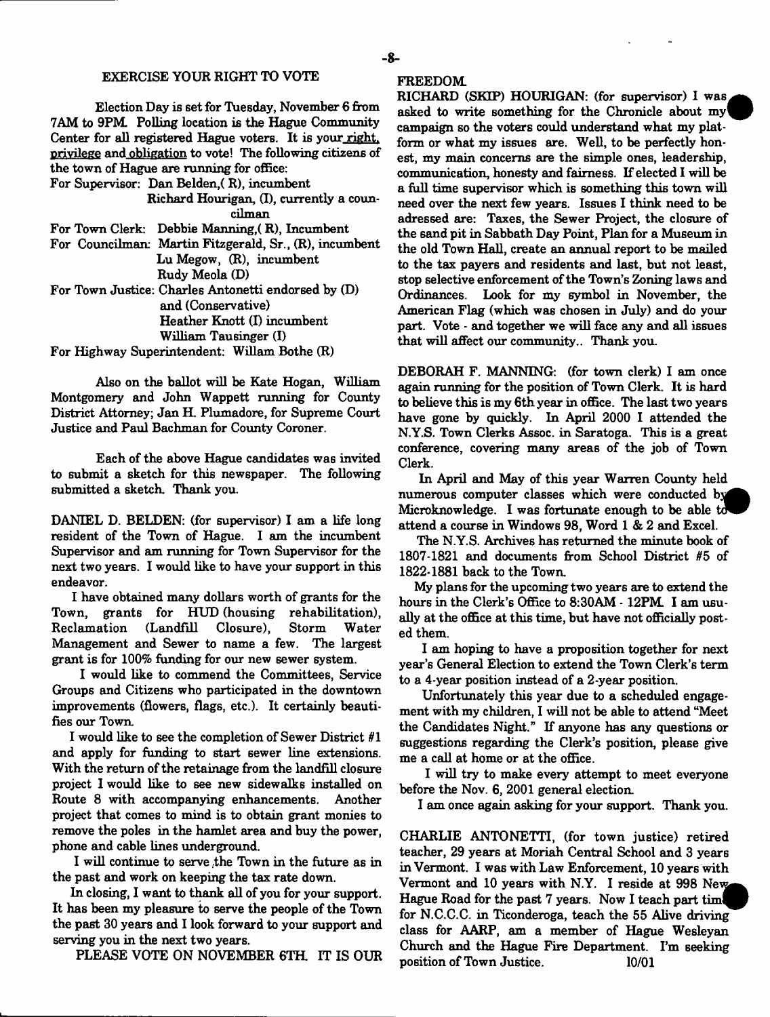### EXERCISE YOUR RIGHT TO VOTE

Election Day is set for Tuesday, November 6 from 7AM to 9PM. Polling location is the Hague Community Center for all registered Hague voters. It is your right, privilege and obligation to vote! The following citizens of the town of Hague are running for office:

For Supervisor: Dan Belden,( R), incumbent Richard Hourigan, (I), currently a coun-

cilman

For Town Clerk: Debbie Manning, (R), Incumbent

For Councilman: Martin Fitzgerald, Sr., (R), incumbent Lu Megow, (R), incumbent Rudy Meola (D)

For Town Justice: Charles Antonetti endorsed by (D) and (Conservative) Heather Knott (I) incumbent William Tausinger (I)

For Highway Superintendent: Wiliam Bothe (R)

Also on the ballot will be Kate Hogan, William Montgomery and John Wappett running for County District Attorney; Jan H. Plumadore, for Supreme Court Justice and Paul Bachman for County Coroner.

Each of the above Hague candidates was invited to submit a sketch for this newspaper. The following submitted a sketch. Thank you.

DANIEL D. BELDEN: (for supervisor) I am a life long resident of the Town of Hague. I am the incumbent Supervisor and am running for Town Supervisor for the next two years. I would like to have your support in this endeavor.

I have obtained many dollars worth of grants for the Town, grants for HUD (housing rehabilitation), Reclamation (Landfill Closure), Storm Water Management and Sewer to name a few. The largest grant is for 100% funding for our new sewer system.

I would like to commend the Committees, Service Groups and Citizens who participated in the downtown improvements (flowers, flags, etc.). It certainly beautifies our Town,

I would like to see the completion of Sewer District *81* and apply for funding to start sewer line extensions. With the return of the retainage from the landfill closure project I would like to see new sidewalks installed on Route 8 with accompanying enhancements. Another project that comes to mind is to obtain grant monies to remove the poles in the hamlet area and buy the power, phone and cable lines underground.

I will continue to serve .the Town in the future as in the past and work on keeping the tax rate down.

In closing, I want to thank all of you for your support. It has been my pleasure to serve the people of the Town the past 30 years and I look forward to your support and serving you in the next two years.

PLEASE VOTE ON NOVEMBER 6TH. IT IS OUR

### FREEDOM

RICHARD (SKIP) HOURIGAN: (for supervisor) I was asked to write something for the Chronicle about  $my^{\dagger}$ campaign so the voters could understand what my platform or what my issues are. Well, to be perfectly honest, my main concerns are the simple ones, leadership, communication, honesty and fairness. If elected I will be a full time supervisor which is something this town will need over the next few years. Issues I think need to be adressed are: Taxes, the Sewer Project, the closure of the sand pit in Sabbath Day Point, Plan for a Museum in the old Town Hall, create an annual report to be mailed to the tax payers and residents and last, but not least, stop selective enforcement of the Town's Zoning laws and Ordinances. Look for my symbol in November, the American Flag (which was chosen in July) and do your part. Vote - and together we will face any and all issues that will affect our community.. Thank you.

DEBORAH F. MANNING: (for town clerk) I am once again running for the position of Town Clerk. It is hard to believe this is my 6th year in office. The last two years have gone by quickly. In April 2000 I attended the N.Y.S. Town Clerks Assoc, in Saratoga. This is a great conference, covering many areas of the job of Town Clerk.

In April and May of this year Warren County held numerous computer classes which were conducted by Microknowledge. I was fortunate enough to be able to attend a course in Windows 98, Word 1 & 2 and Excel.

The N.Y.S. Archives has returned the minute book of 1807-1821 and documents from School District *85* of 1822-1881 back to the Town.

My plans for the upcoming two years are to extend the hours in the Clerk's Office to 8:30AM - 12PM I am usually at the office at this time, but have not officially posted them.

I am hoping to have a proposition together for next year's General Election to extend the Town Clerk's term to a 4-year position instead of a 2-year position.

Unfortunately this year due to a scheduled engagement with my children, I will not be able to attend "Meet the Candidates Night." If anyone has any questions or suggestions regarding the Clerk's position, please give me a call at home or at the office.

I will try to make every attempt to meet everyone before the Nov. 6, 2001 general election.

I am once again asking for your support. Thank you.

CHARLIE ANTONETTI, (for town justice) retired teacher, 29 years at Moriah Central School and 3 years in Vermont. I was with Law Enforcement, 10 years with Vermont and 10 years with N.Y. I reside at 998 New Hague Road for the past 7 years. Now I teach part time for N.C.C.C. in Ticonderoga, teach the 55 Alive driving class for AARP, am a member of Hague Wesleyan Church and the Hague Fire Department. I'm seeking position of Town Justice. 10/01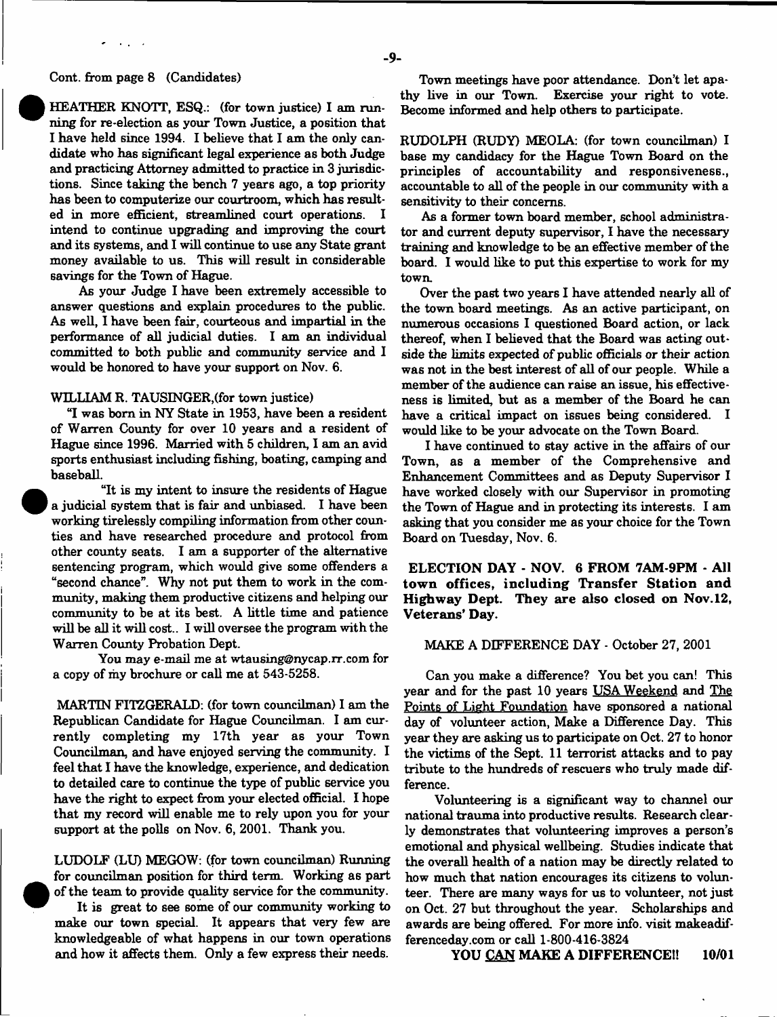#### Cont. from page 8 (Candidates)

HEATHER KNOTT, ESQ.: (for town justice) I am running for re-election as your Town Justice, a position that I have held since 1994. I believe that I am the only candidate who has significant legal experience as both Judge and practicing Attorney admitted to practice in 3 jurisdictions. Since taking the bench 7 years ago, a top priority has been to computerize our courtroom, which has resulted in more efficient. streamlined court operations. I ed in more efficient, streamlined court operations. intend to continue upgrading and improving the court and its systems, and I will continue to use any State grant money available to us. This will result in considerable savings for the Town of Hague.

As your Judge I have been extremely accessible to answer questions and explain procedures to the public. As well, I have been fair, courteous and impartial in the performance of all judicial duties. I am an individual committed to both public and community service and 1 would be honored to have your support on Nov. 6.

### WILLIAM R. TAUSINGER, (for town justice)

"I was bom in NY State in 1953, have been a resident of Warren County for over 10 years and a resident of Hague since 1996. Married with 5 children, I am an avid sports enthusiast including fishing, boating, camping and baseball.

"It is my intent to insure the residents of Hague a judicial system that is fair and unbiased. I have been working tirelessly compiling information from other counties and have researched procedure and protocol from other county seats. I am a supporter of the alternative sentencing program, which would give some offenders a "second chance". Why not put them to work in the community, making them productive citizens and helping our **com m unity** to be at its best. A little time and patience will be all it will cost.. I will oversee the program with the Warren County Probation Dept.

You may e-mail me at [wtausing@nycap.rr.com](mailto:wtausing@nycap.rr.com) for a copy of my brochure or call me at 543-5258.

MARTIN FITZGERALD: (for town councilman) I am the Republican Candidate for Hague Councilman. I am currently completing my 17th year as your Town Councilman, and have enjoyed serving the community. I feel that I have the knowledge, experience, and dedication to detailed care to continue the type of public service you have the right to expect from your elected official. I hope that my record will enable me to rely upon you for your support at the polls on Nov. 6, 2001. Thank you.

LUDOLF (LU) MEGOW: (for town councilman) Running for councilman position for third term. Working as part of the team to provide quality service for the community.

It is great to see some of our community working to make our town special. It appears that very few are knowledgeable of what happens in our town operations and how it affects them. Only a few express their needs.

Town meetings have poor attendance. Don't let apathy live in our Town. Exercise your right to vote. Become informed and help others to participate.

RUDOLPH (RUDY) MEOLA: (for town councilman) I base my candidacy for the Hague Town Board on the principles of accountability and responsiveness., accountable to all of the people in our community with a sensitivity to their concerns.

As a former town board member, school administrator and current deputy supervisor, I have the necessary training and knowledge to be an effective member of the board. I would like to put this expertise to work for my town.

Over the past two years I have attended nearly all of the town board meetings. As an active participant, on numerous occasions I questioned Board action, or lack thereof, when I believed that the Board was acting outside the limits expected of public officials or their action was not in the best interest of all of our people. While a member of the audience can raise an issue, his effectiveness is limited, but as a member of the Board he can have a critical impact on issues being considered. I would like to be your advocate on the Town Board.

I have continued to stay active in the affairs of our Town, as a member of the Comprehensive and Enhancement Committees and as Deputy Supervisor I have worked closely with our Supervisor in promoting the Town of Hague and in protecting its interests. I am asking that you consider me as your choice for the Town Board on Tuesday, Nov. 6.

**ELECTION DAY - NOV. 6 FROM 7AM-9PM - All town offices, including Transfer Station and Highway Dept. They are also closed on Nov. 12, Veterans' Day.**

### MAKE A DIFFERENCE DAY - October 27, 2001

Can you make a difference? You bet you can! This year and for the past 10 years USA Weekend and The Points of Light Foundation have sponsored a national day of volunteer action, Make a Difference Day. This year they are asking us to participate on Oct. 27 to honor the victims of the Sept. 11 terrorist attacks and to pay tribute to the hundreds of rescuers who truly made difference.

Volunteering is a significant way to channel our national trauma into productive results. Research clearly demonstrates that volunteering improves a person's emotional and physical wellbeing. Studies indicate that the overall health of a nation may be directly related to how much that nation encourages its citizens to volunteer. There are many ways for us to volunteer, not just on Oct. 27 but throughout the year. Scholarships and awards are being offered. For more info, visit makeadifferenceday.com or call 1-800-416-3824

**YOU CAN MAKE A DIFFERENCE!! 10/01**